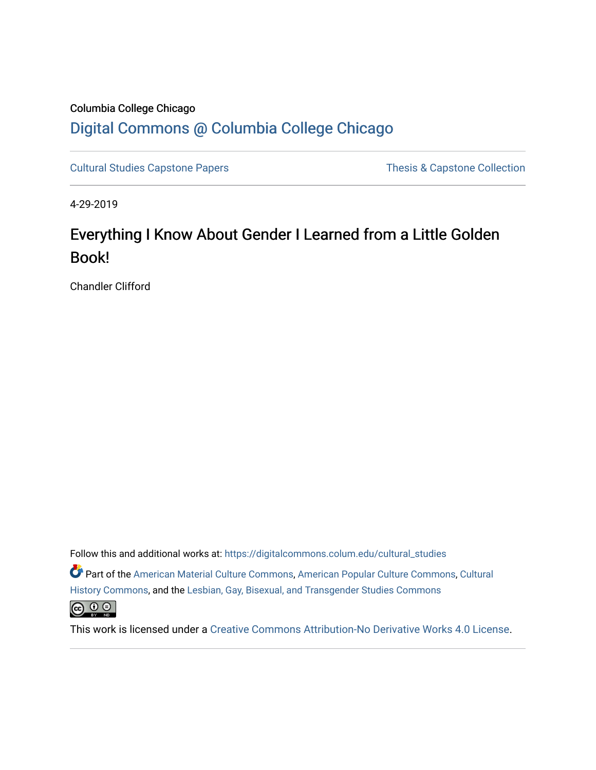# Columbia College Chicago [Digital Commons @ Columbia College Chicago](https://digitalcommons.colum.edu/)

[Cultural Studies Capstone Papers](https://digitalcommons.colum.edu/cultural_studies) Thesis & Capstone Collection

4-29-2019

# Everything I Know About Gender I Learned from a Little Golden Book!

Chandler Clifford

Follow this and additional works at: [https://digitalcommons.colum.edu/cultural\\_studies](https://digitalcommons.colum.edu/cultural_studies?utm_source=digitalcommons.colum.edu%2Fcultural_studies%2F61&utm_medium=PDF&utm_campaign=PDFCoverPages) 

Part of the [American Material Culture Commons,](http://network.bepress.com/hgg/discipline/442?utm_source=digitalcommons.colum.edu%2Fcultural_studies%2F61&utm_medium=PDF&utm_campaign=PDFCoverPages) [American Popular Culture Commons](http://network.bepress.com/hgg/discipline/443?utm_source=digitalcommons.colum.edu%2Fcultural_studies%2F61&utm_medium=PDF&utm_campaign=PDFCoverPages), [Cultural](http://network.bepress.com/hgg/discipline/496?utm_source=digitalcommons.colum.edu%2Fcultural_studies%2F61&utm_medium=PDF&utm_campaign=PDFCoverPages) [History Commons](http://network.bepress.com/hgg/discipline/496?utm_source=digitalcommons.colum.edu%2Fcultural_studies%2F61&utm_medium=PDF&utm_campaign=PDFCoverPages), and the [Lesbian, Gay, Bisexual, and Transgender Studies Commons](http://network.bepress.com/hgg/discipline/560?utm_source=digitalcommons.colum.edu%2Fcultural_studies%2F61&utm_medium=PDF&utm_campaign=PDFCoverPages)



This work is licensed under a [Creative Commons Attribution-No Derivative Works 4.0 License.](https://creativecommons.org/licenses/by-nd/4.0/)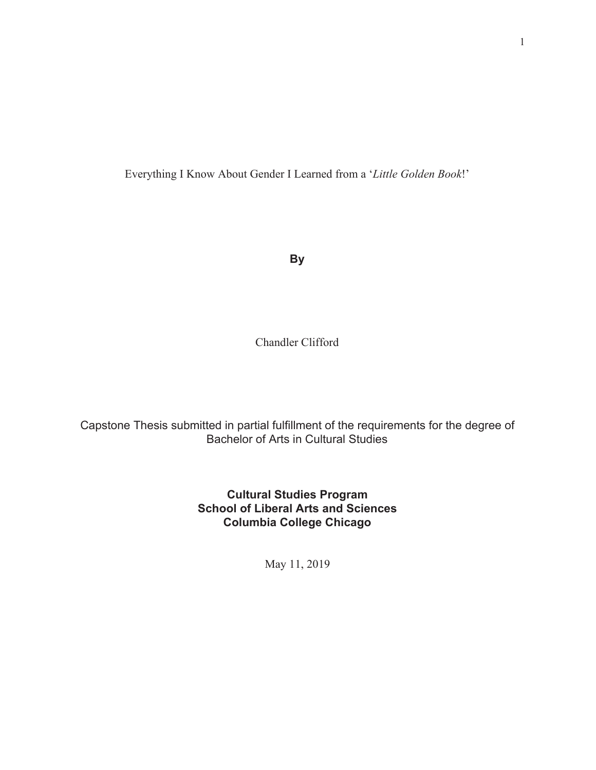Everything I Know About Gender I Learned from a '*Little Golden Book*!'

**By**

Chandler Clifford

Capstone Thesis submitted in partial fulfillment of the requirements for the degree of Bachelor of Arts in Cultural Studies

> **Cultural Studies Program School of Liberal Arts and Sciences Columbia College Chicago**

> > May 11, 2019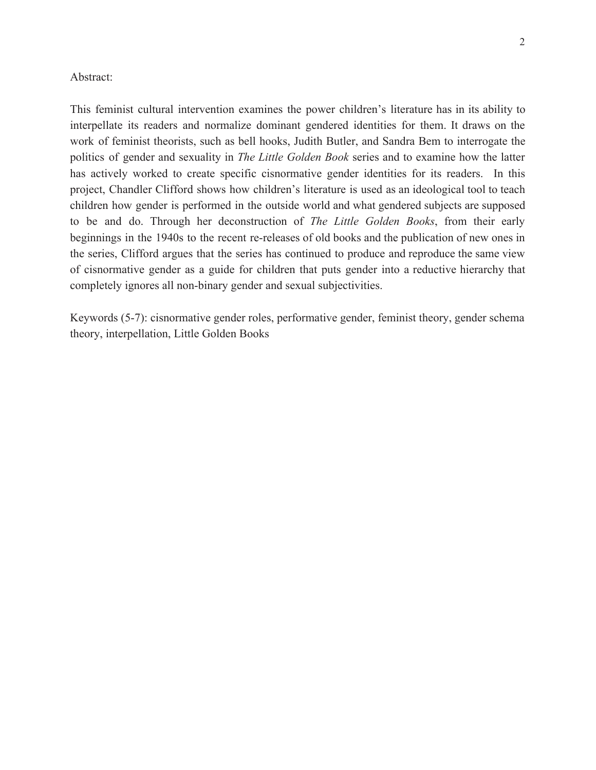#### Abstract:

This feminist cultural intervention examines the power children's literature has in its ability to interpellate its readers and normalize dominant gendered identities for them. It draws on the work of feminist theorists, such as bell hooks, Judith Butler, and Sandra Bem to interrogate the politics of gender and sexuality in *The Little Golden Book* series and to examine how the latter has actively worked to create specific cisnormative gender identities for its readers. In this project, Chandler Clifford shows how children's literature is used as an ideological tool to teach children how gender is performed in the outside world and what gendered subjects are supposed to be and do. Through her deconstruction of *The Little Golden Books* , from their early beginnings in the 1940s to the recent re-releases of old books and the publication of new ones in the series, Clifford argues that the series has continued to produce and reproduce the same view of cisnormative gender as a guide for children that puts gender into a reductive hierarchy that completely ignores all non-binary gender and sexual subjectivities.

Keywords (5-7): cisnormative gender roles, performative gender, feminist theory, gender schema theory, interpellation, Little Golden Books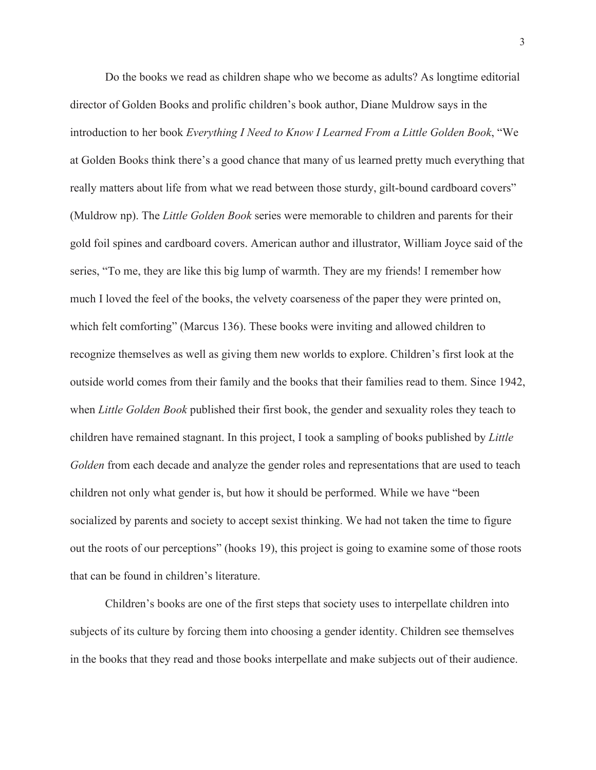Do the books we read as children shape who we become as adults? As longtime editorial director of Golden Books and prolific children's book author, Diane Muldrow says in the introduction to her book *Everything I Need to Know I Learned From a Little Golden Book*, "We at Golden Books think there's a good chance that many of us learned pretty much everything that really matters about life from what we read between those sturdy, gilt-bound cardboard covers" (Muldrow np). The *Little Golden Book* series were memorable to children and parents for their gold foil spines and cardboard covers. American author and illustrator, William Joyce said of the series, "To me, they are like this big lump of warmth. They are my friends! I remember how much I loved the feel of the books, the velvety coarseness of the paper they were printed on, which felt comforting" (Marcus 136). These books were inviting and allowed children to recognize themselves as well as giving them new worlds to explore. Children's first look at the outside world comes from their family and the books that their families read to them. Since 1942, when *Little Golden Book* published their first book, the gender and sexuality roles they teach to children have remained stagnant. In this project, I took a sampling of books published by *Little Golden* from each decade and analyze the gender roles and representations that are used to teach children not only what gender is, but how it should be performed. While we have "been socialized by parents and society to accept sexist thinking. We had not taken the time to figure out the roots of our perceptions" (hooks 19), this project is going to examine some of those roots that can be found in children's literature.

Children's books are one of the first steps that society uses to interpellate children into subjects of its culture by forcing them into choosing a gender identity. Children see themselves in the books that they read and those books interpellate and make subjects out of their audience.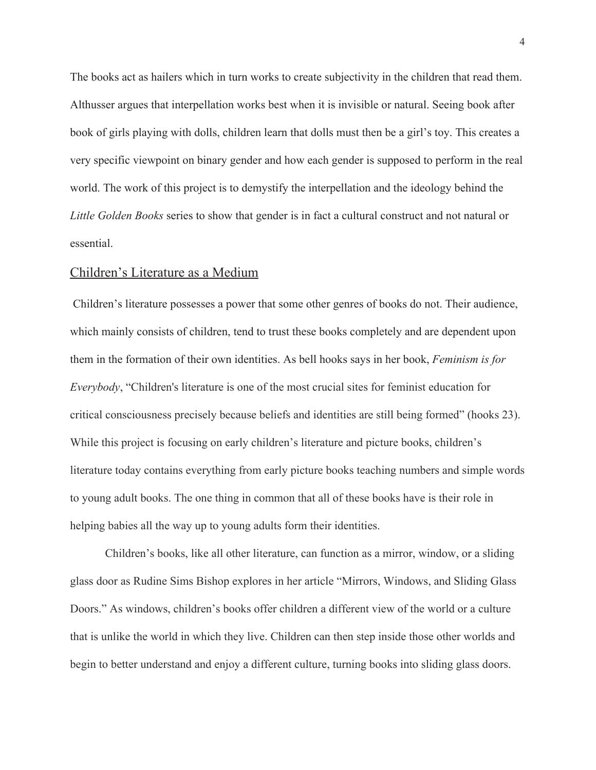The books act as hailers which in turn works to create subjectivity in the children that read them. Althusser argues that interpellation works best when it is invisible or natural. Seeing book after book of girls playing with dolls, children learn that dolls must then be a girl's toy. This creates a very specific viewpoint on binary gender and how each gender is supposed to perform in the real world. The work of this project is to demystify the interpellation and the ideology behind the *Little Golden Books* series to show that gender is in fact a cultural construct and not natural or essential.

#### Children's Literature as a Medium

 Children's literature possesses a power that some other genres of books do not. Their audience, which mainly consists of children, tend to trust these books completely and are dependent upon them in the formation of their own identities. As bell hooks says in her book, *Feminism is for Everybody*, "Children's literature is one of the most crucial sites for feminist education for critical consciousness precisely because beliefs and identities are still being formed" (hooks 23). While this project is focusing on early children's literature and picture books, children's literature today contains everything from early picture books teaching numbers and simple words to young adult books. The one thing in common that all of these books have is their role in helping babies all the way up to young adults form their identities.

Children's books, like all other literature, can function as a mirror, window, or a sliding glass door as Rudine Sims Bishop explores in her article "Mirrors, Windows, and Sliding Glass Doors." As windows, children's books offer children a different view of the world or a culture that is unlike the world in which they live. Children can then step inside those other worlds and begin to better understand and enjoy a different culture, turning books into sliding glass doors.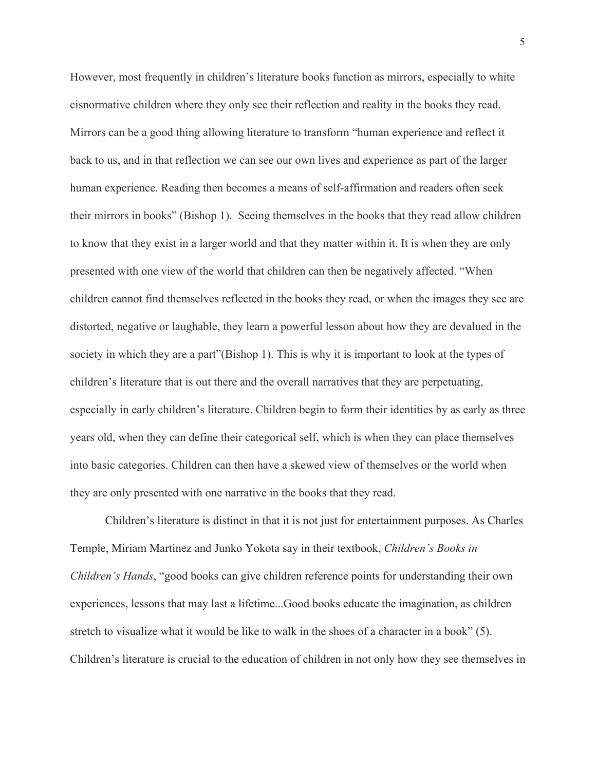However, most frequently in children's literature books function as mirrors, especially to white cisnormative children where they only see their reflection and reality in the books they read. Mirrors can be a good thing allowing literature to transform "human experience and reflect it back to us, and in that reflection we can see our own lives and experience as part of the larger human experience. Reading then becomes a means of self-affirmation and readers often seek their mirrors in books" (Bishop 1). Seeing themselves in the books that they read allow children to know that they exist in a larger world and that they matter within it. It is when they are only presented with one view of the world that children can then be negatively affected. "When children cannot find themselves reflected in the books they read, or when the images they see are distorted, negative or laughable, they learn a powerful lesson about how they are devalued in the society in which they are a part"(Bishop 1). This is why it is important to look at the types of children's literature that is out there and the overall narratives that they are perpetuating, especially in early children's literature. Children begin to form their identities by as early as three years old, when they can define their categorical self, which is when they can place themselves into basic categories. Children can then have a skewed view of themselves or the world when they are only presented with one narrative in the books that they read.

Children's literature is distinct in that it is not just for entertainment purposes. As Charles Temple, Miriam Martinez and Junko Yokota say in their textbook, *Children's Books in Children's Hands*, "good books can give children reference points for understanding their own experiences, lessons that may last a lifetime...Good books educate the imagination, as children stretch to visualize what it would be like to walk in the shoes of a character in a book" (5). Children's literature is crucial to the education of children in not only how they see themselves in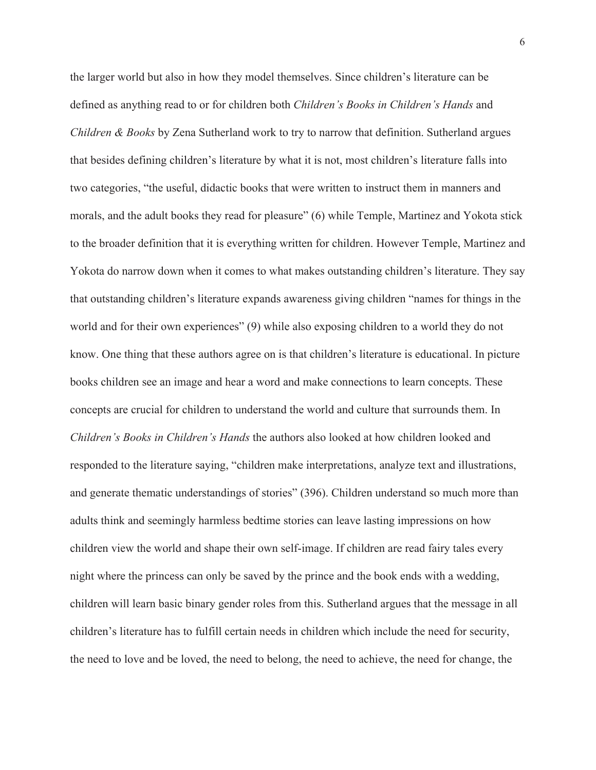the larger world but also in how they model themselves. Since children's literature can be defined as anything read to or for children both *Children's Books in Children's Hands* and *Children & Books* by Zena Sutherland work to try to narrow that definition. Sutherland argues that besides defining children's literature by what it is not, most children's literature falls into two categories, "the useful, didactic books that were written to instruct them in manners and morals, and the adult books they read for pleasure" (6) while Temple, Martinez and Yokota stick to the broader definition that it is everything written for children. However Temple, Martinez and Yokota do narrow down when it comes to what makes outstanding children's literature. They say that outstanding children's literature expands awareness giving children "names for things in the world and for their own experiences" (9) while also exposing children to a world they do not know. One thing that these authors agree on is that children's literature is educational. In picture books children see an image and hear a word and make connections to learn concepts. These concepts are crucial for children to understand the world and culture that surrounds them. In *Children's Books in Children's Hands* the authors also looked at how children looked and responded to the literature saying, "children make interpretations, analyze text and illustrations, and generate thematic understandings of stories" (396). Children understand so much more than adults think and seemingly harmless bedtime stories can leave lasting impressions on how children view the world and shape their own self-image. If children are read fairy tales every night where the princess can only be saved by the prince and the book ends with a wedding, children will learn basic binary gender roles from this. Sutherland argues that the message in all children's literature has to fulfill certain needs in children which include the need for security, the need to love and be loved, the need to belong, the need to achieve, the need for change, the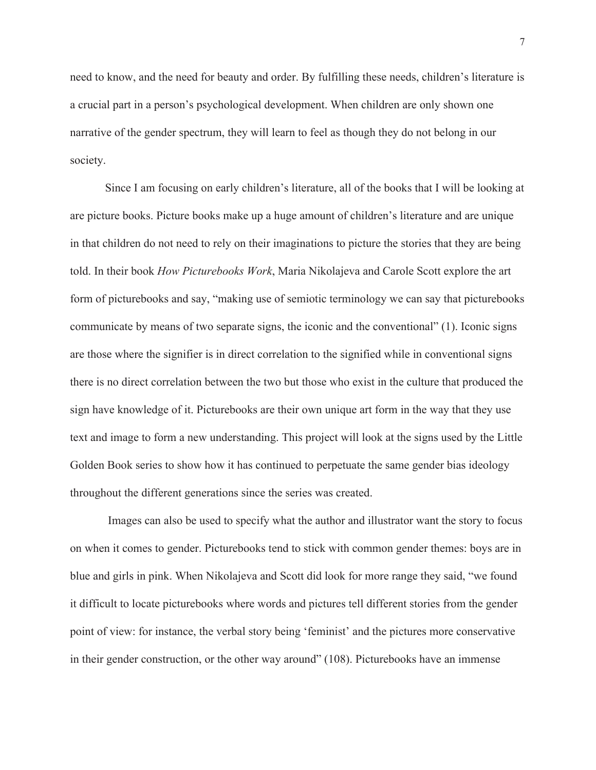need to know, and the need for beauty and order. By fulfilling these needs, children's literature is a crucial part in a person's psychological development. When children are only shown one narrative of the gender spectrum, they will learn to feel as though they do not belong in our society.

Since I am focusing on early children's literature, all of the books that I will be looking at are picture books. Picture books make up a huge amount of children's literature and are unique in that children do not need to rely on their imaginations to picture the stories that they are being told. In their book *How Picturebooks Work*, Maria Nikolajeva and Carole Scott explore the art form of picturebooks and say, "making use of semiotic terminology we can say that picturebooks communicate by means of two separate signs, the iconic and the conventional" (1). Iconic signs are those where the signifier is in direct correlation to the signified while in conventional signs there is no direct correlation between the two but those who exist in the culture that produced the sign have knowledge of it. Picturebooks are their own unique art form in the way that they use text and image to form a new understanding. This project will look at the signs used by the Little Golden Book series to show how it has continued to perpetuate the same gender bias ideology throughout the different generations since the series was created.

 Images can also be used to specify what the author and illustrator want the story to focus on when it comes to gender. Picturebooks tend to stick with common gender themes: boys are in blue and girls in pink. When Nikolajeva and Scott did look for more range they said, "we found it difficult to locate picturebooks where words and pictures tell different stories from the gender point of view: for instance, the verbal story being 'feminist' and the pictures more conservative in their gender construction, or the other way around" (108). Picturebooks have an immense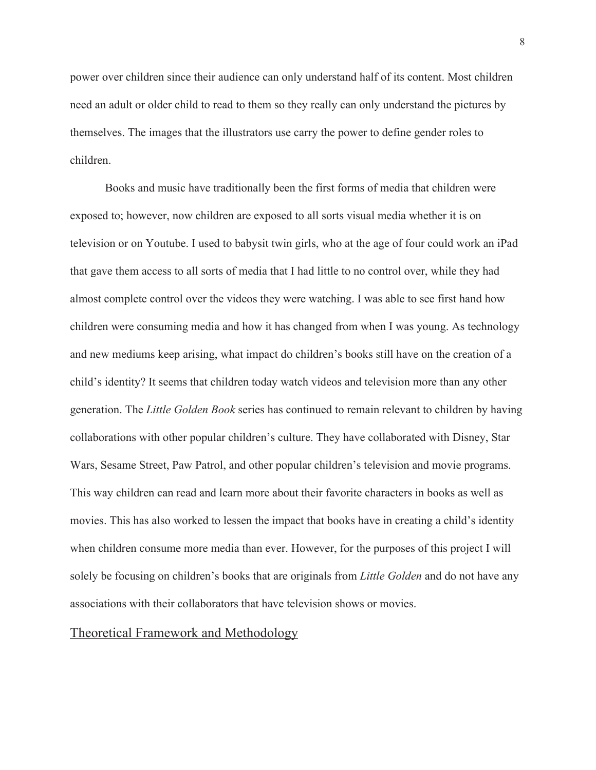power over children since their audience can only understand half of its content. Most children need an adult or older child to read to them so they really can only understand the pictures by themselves. The images that the illustrators use carry the power to define gender roles to children.

Books and music have traditionally been the first forms of media that children were exposed to; however, now children are exposed to all sorts visual media whether it is on television or on Youtube. I used to babysit twin girls, who at the age of four could work an iPad that gave them access to all sorts of media that I had little to no control over, while they had almost complete control over the videos they were watching. I was able to see first hand how children were consuming media and how it has changed from when I was young. As technology and new mediums keep arising, what impact do children's books still have on the creation of a child's identity? It seems that children today watch videos and television more than any other generation. The *Little Golden Book* series has continued to remain relevant to children by having collaborations with other popular children's culture. They have collaborated with Disney, Star Wars, Sesame Street, Paw Patrol, and other popular children's television and movie programs. This way children can read and learn more about their favorite characters in books as well as movies. This has also worked to lessen the impact that books have in creating a child's identity when children consume more media than ever. However, for the purposes of this project I will solely be focusing on children's books that are originals from *Little Golden* and do not have any associations with their collaborators that have television shows or movies.

#### Theoretical Framework and Methodology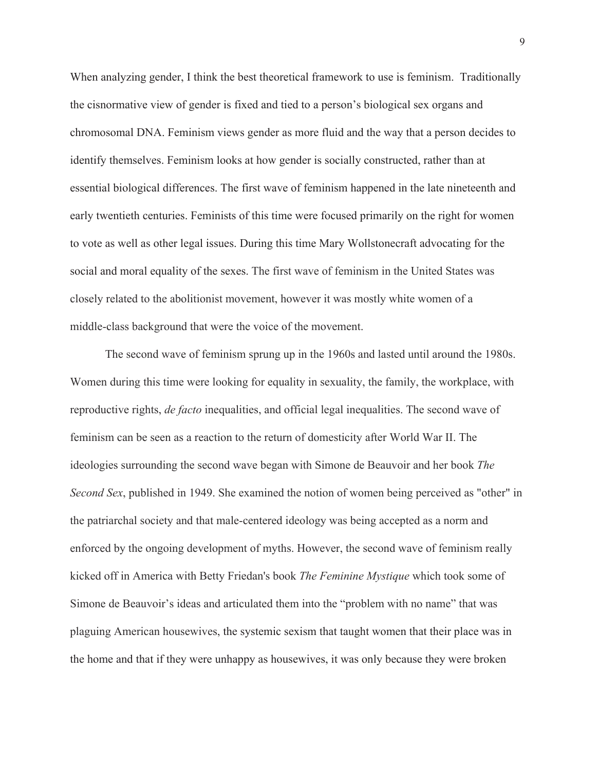When analyzing gender, I think the best theoretical framework to use is feminism. Traditionally the cisnormative view of gender is fixed and tied to a person's biological sex organs and chromosomal DNA. Feminism views gender as more fluid and the way that a person decides to identify themselves. Feminism looks at how gender is socially constructed, rather than at essential biological differences. The first wave of feminism happened in the late nineteenth and early twentieth centuries. Feminists of this time were focused primarily on the right for women to vote as well as other legal issues. During this time Mary Wollstonecraft advocating for the social and moral equality of the sexes. The first wave of feminism in the United States was closely related to the abolitionist movement, however it was mostly white women of a middle-class background that were the voice of the movement.

The second wave of feminism sprung up in the 1960s and lasted until around the 1980s. Women during this time were looking for equality in sexuality, the family, the workplace, with reproductive rights, *de facto* inequalities, and official legal inequalities. The second wave of feminism can be seen as a reaction to the return of domesticity after World War II. The ideologies surrounding the second wave began with Simone de Beauvoir and her book *The Second Sex*, published in 1949. She examined the notion of women being perceived as "other" in the patriarchal society and that male-centered ideology was being accepted as a norm and enforced by the ongoing development of myths. However, the second wave of feminism really kicked off in America with Betty Friedan's book *The Feminine Mystique* which took some of Simone de Beauvoir's ideas and articulated them into the "problem with no name" that was plaguing American housewives, the systemic sexism that taught women that their place was in the home and that if they were unhappy as housewives, it was only because they were broken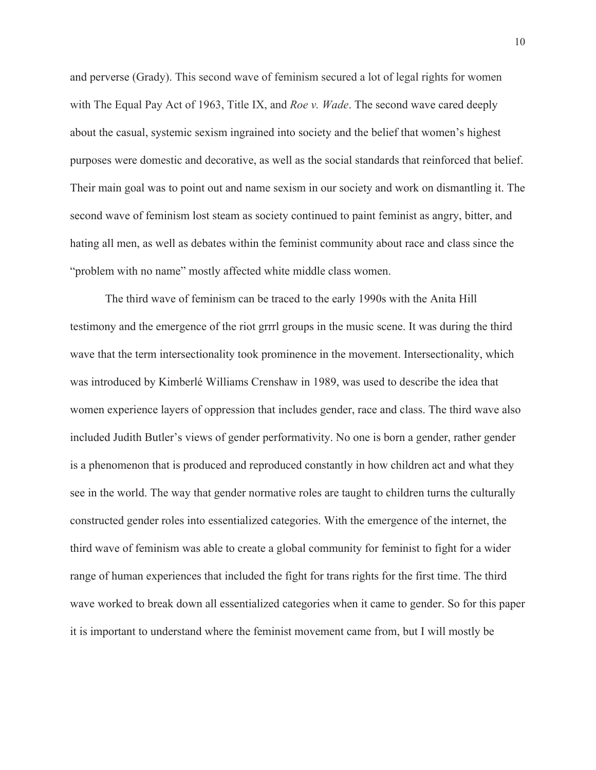and perverse (Grady). This second wave of feminism secured a lot of legal rights for women with The Equal Pay Act of 1963, Title IX, and *Roe v. Wade*. The second wave cared deeply about the casual, systemic sexism ingrained into society and the belief that women's highest purposes were domestic and decorative, as well as the social standards that reinforced that belief. Their main goal was to point out and name sexism in our society and work on dismantling it. The second wave of feminism lost steam as society continued to paint feminist as angry, bitter, and hating all men, as well as debates within the feminist community about race and class since the "problem with no name" mostly affected white middle class women.

The third wave of feminism can be traced to the early 1990s with the Anita Hill testimony and the emergence of the riot grrrl groups in the music scene. It was during the third wave that the term intersectionality took prominence in the movement. Intersectionality, which was introduced by Kimberlé Williams Crenshaw in 1989, was used to describe the idea that women experience layers of oppression that includes gender, race and class. The third wave also included Judith Butler's views of gender performativity. No one is born a gender, rather gender is a phenomenon that is produced and reproduced constantly in how children act and what they see in the world. The way that gender normative roles are taught to children turns the culturally constructed gender roles into essentialized categories. With the emergence of the internet, the third wave of feminism was able to create a global community for feminist to fight for a wider range of human experiences that included the fight for trans rights for the first time. The third wave worked to break down all essentialized categories when it came to gender. So for this paper it is important to understand where the feminist movement came from, but I will mostly be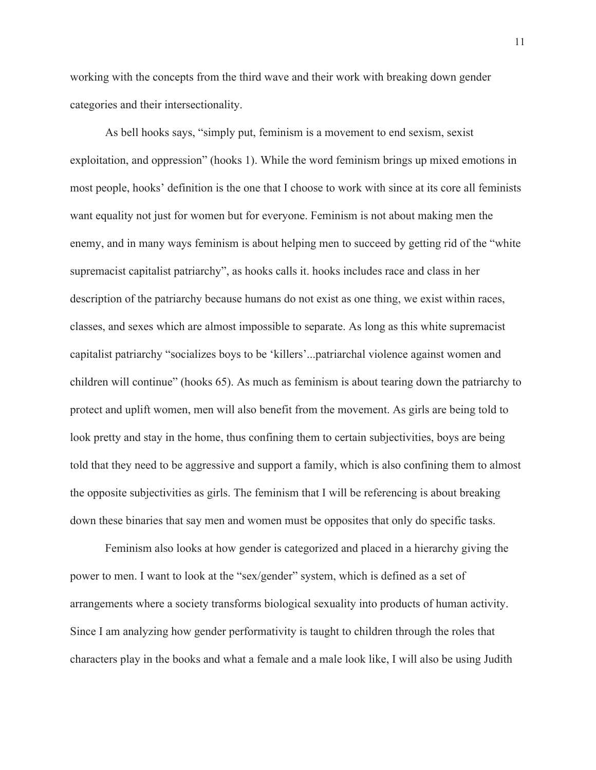working with the concepts from the third wave and their work with breaking down gender categories and their intersectionality.

As bell hooks says, "simply put, feminism is a movement to end sexism, sexist exploitation, and oppression" (hooks 1). While the word feminism brings up mixed emotions in most people, hooks' definition is the one that I choose to work with since at its core all feminists want equality not just for women but for everyone. Feminism is not about making men the enemy, and in many ways feminism is about helping men to succeed by getting rid of the "white supremacist capitalist patriarchy", as hooks calls it. hooks includes race and class in her description of the patriarchy because humans do not exist as one thing, we exist within races, classes, and sexes which are almost impossible to separate. As long as this white supremacist capitalist patriarchy "socializes boys to be 'killers'...patriarchal violence against women and children will continue" (hooks 65). As much as feminism is about tearing down the patriarchy to protect and uplift women, men will also benefit from the movement. As girls are being told to look pretty and stay in the home, thus confining them to certain subjectivities, boys are being told that they need to be aggressive and support a family, which is also confining them to almost the opposite subjectivities as girls. The feminism that I will be referencing is about breaking down these binaries that say men and women must be opposites that only do specific tasks.

Feminism also looks at how gender is categorized and placed in a hierarchy giving the power to men. I want to look at the "sex/gender" system, which is defined as a set of arrangements where a society transforms biological sexuality into products of human activity. Since I am analyzing how gender performativity is taught to children through the roles that characters play in the books and what a female and a male look like, I will also be using Judith

11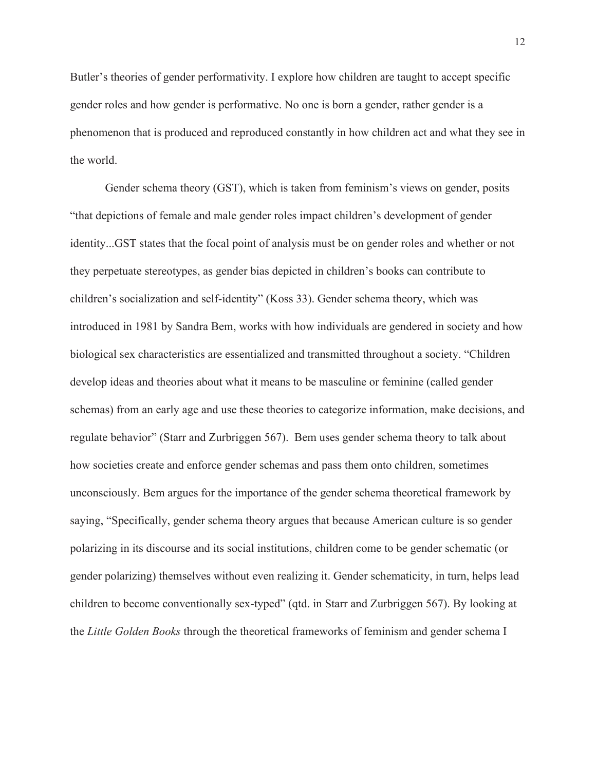Butler's theories of gender performativity. I explore how children are taught to accept specific gender roles and how gender is performative. No one is born a gender, rather gender is a phenomenon that is produced and reproduced constantly in how children act and what they see in the world.

Gender schema theory (GST), which is taken from feminism's views on gender, posits "that depictions of female and male gender roles impact children's development of gender identity...GST states that the focal point of analysis must be on gender roles and whether or not they perpetuate stereotypes, as gender bias depicted in children's books can contribute to children's socialization and self-identity" (Koss 33). Gender schema theory, which was introduced in 1981 by Sandra Bem, works with how individuals are gendered in society and how biological sex characteristics are essentialized and transmitted throughout a society. "Children develop ideas and theories about what it means to be masculine or feminine (called gender schemas) from an early age and use these theories to categorize information, make decisions, and regulate behavior" (Starr and Zurbriggen 567). Bem uses gender schema theory to talk about how societies create and enforce gender schemas and pass them onto children, sometimes unconsciously. Bem argues for the importance of the gender schema theoretical framework by saying, "Specifically, gender schema theory argues that because American culture is so gender polarizing in its discourse and its social institutions, children come to be gender schematic (or gender polarizing) themselves without even realizing it. Gender schematicity, in turn, helps lead children to become conventionally sex-typed" (qtd. in Starr and Zurbriggen 567). By looking at the *Little Golden Books* through the theoretical frameworks of feminism and gender schema I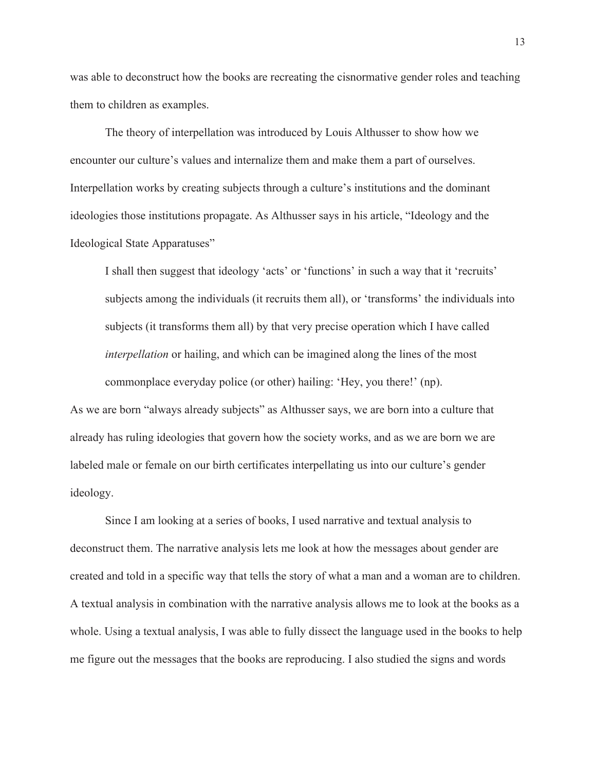was able to deconstruct how the books are recreating the cisnormative gender roles and teaching them to children as examples.

The theory of interpellation was introduced by Louis Althusser to show how we encounter our culture's values and internalize them and make them a part of ourselves. Interpellation works by creating subjects through a culture's institutions and the dominant ideologies those institutions propagate. As Althusser says in his article, "Ideology and the Ideological State Apparatuses"

I shall then suggest that ideology 'acts' or 'functions' in such a way that it 'recruits' subjects among the individuals (it recruits them all), or 'transforms' the individuals into subjects (it transforms them all) by that very precise operation which I have called *interpellation* or hailing, and which can be imagined along the lines of the most commonplace everyday police (or other) hailing: 'Hey, you there!' (np).

As we are born "always already subjects" as Althusser says, we are born into a culture that already has ruling ideologies that govern how the society works, and as we are born we are labeled male or female on our birth certificates interpellating us into our culture's gender ideology.

Since I am looking at a series of books, I used narrative and textual analysis to deconstruct them. The narrative analysis lets me look at how the messages about gender are created and told in a specific way that tells the story of what a man and a woman are to children. A textual analysis in combination with the narrative analysis allows me to look at the books as a whole. Using a textual analysis, I was able to fully dissect the language used in the books to help me figure out the messages that the books are reproducing. I also studied the signs and words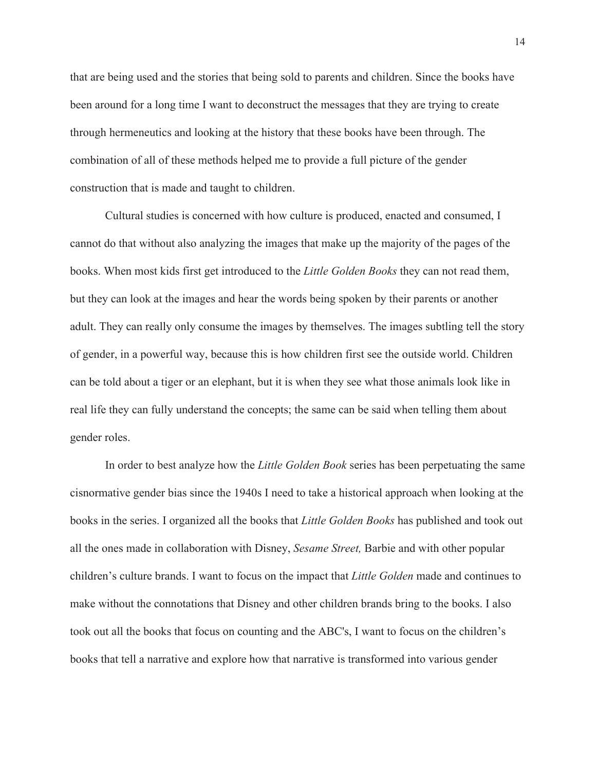that are being used and the stories that being sold to parents and children. Since the books have been around for a long time I want to deconstruct the messages that they are trying to create through hermeneutics and looking at the history that these books have been through. The combination of all of these methods helped me to provide a full picture of the gender construction that is made and taught to children.

Cultural studies is concerned with how culture is produced, enacted and consumed, I cannot do that without also analyzing the images that make up the majority of the pages of the books. When most kids first get introduced to the *Little Golden Books* they can not read them, but they can look at the images and hear the words being spoken by their parents or another adult. They can really only consume the images by themselves. The images subtling tell the story of gender, in a powerful way, because this is how children first see the outside world. Children can be told about a tiger or an elephant, but it is when they see what those animals look like in real life they can fully understand the concepts; the same can be said when telling them about gender roles.

In order to best analyze how the *Little Golden Book* series has been perpetuating the same cisnormative gender bias since the 1940s I need to take a historical approach when looking at the books in the series. I organized all the books that *Little Golden Books* has published and took out all the ones made in collaboration with Disney, *Sesame Street,* Barbie and with other popular children's culture brands. I want to focus on the impact that *Little Golden* made and continues to make without the connotations that Disney and other children brands bring to the books. I also took out all the books that focus on counting and the ABC's, I want to focus on the children's books that tell a narrative and explore how that narrative is transformed into various gender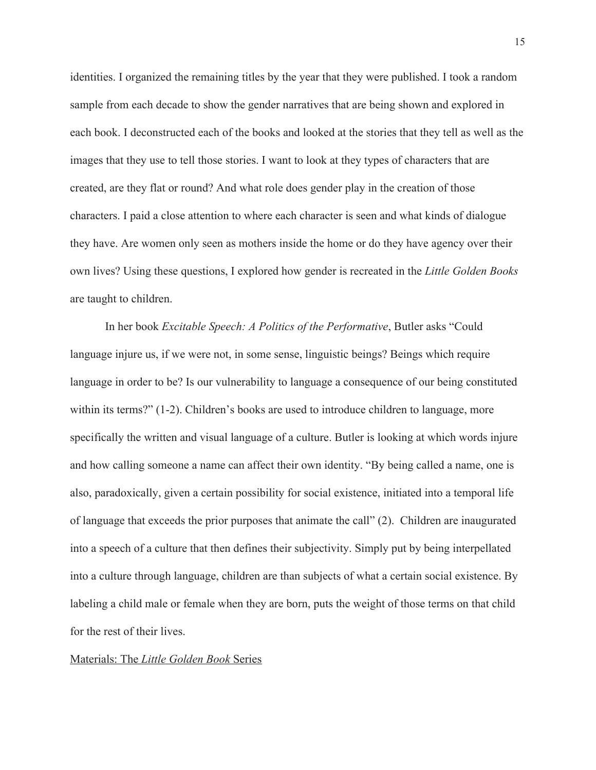identities. I organized the remaining titles by the year that they were published. I took a random sample from each decade to show the gender narratives that are being shown and explored in each book. I deconstructed each of the books and looked at the stories that they tell as well as the images that they use to tell those stories. I want to look at they types of characters that are created, are they flat or round? And what role does gender play in the creation of those characters. I paid a close attention to where each character is seen and what kinds of dialogue they have. Are women only seen as mothers inside the home or do they have agency over their own lives? Using these questions, I explored how gender is recreated in the *Little Golden Books*  are taught to children.

In her book *Excitable Speech: A Politics of the Performative*, Butler asks "Could language injure us, if we were not, in some sense, linguistic beings? Beings which require language in order to be? Is our vulnerability to language a consequence of our being constituted within its terms?" (1-2). Children's books are used to introduce children to language, more specifically the written and visual language of a culture. Butler is looking at which words injure and how calling someone a name can affect their own identity. "By being called a name, one is also, paradoxically, given a certain possibility for social existence, initiated into a temporal life of language that exceeds the prior purposes that animate the call" (2). Children are inaugurated into a speech of a culture that then defines their subjectivity. Simply put by being interpellated into a culture through language, children are than subjects of what a certain social existence. By labeling a child male or female when they are born, puts the weight of those terms on that child for the rest of their lives.

#### Materials: The *Little Golden Book* Series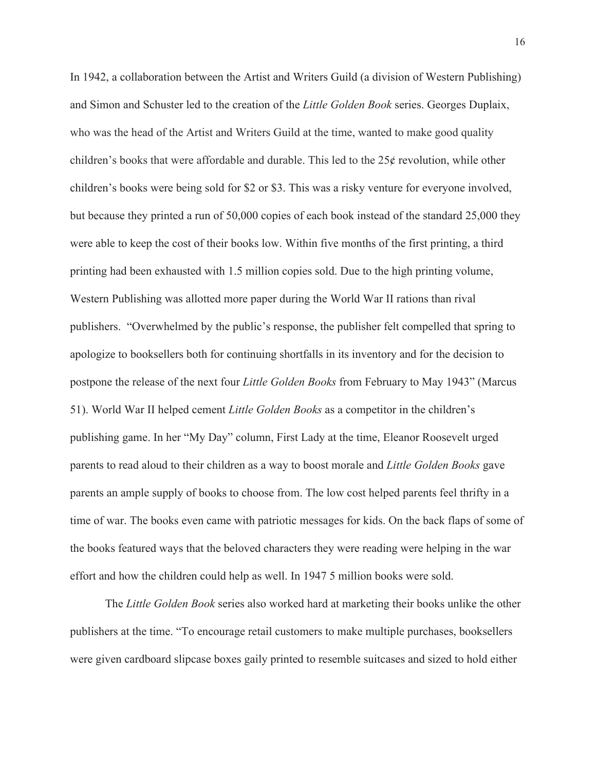In 1942, a collaboration between the Artist and Writers Guild (a division of Western Publishing) and Simon and Schuster led to the creation of the *Little Golden Book* series. Georges Duplaix, who was the head of the Artist and Writers Guild at the time, wanted to make good quality children's books that were affordable and durable. This led to the  $25¢$  revolution, while other children's books were being sold for \$2 or \$3. This was a risky venture for everyone involved, but because they printed a run of 50,000 copies of each book instead of the standard 25,000 they were able to keep the cost of their books low. Within five months of the first printing, a third printing had been exhausted with 1.5 million copies sold. Due to the high printing volume, Western Publishing was allotted more paper during the World War II rations than rival publishers. "Overwhelmed by the public's response, the publisher felt compelled that spring to apologize to booksellers both for continuing shortfalls in its inventory and for the decision to postpone the release of the next four *Little Golden Books* from February to May 1943" (Marcus 51). World War II helped cement *Little Golden Books* as a competitor in the children's publishing game. In her "My Day" column, First Lady at the time, Eleanor Roosevelt urged parents to read aloud to their children as a way to boost morale and *Little Golden Books* gave parents an ample supply of books to choose from. The low cost helped parents feel thrifty in a time of war. The books even came with patriotic messages for kids. On the back flaps of some of the books featured ways that the beloved characters they were reading were helping in the war effort and how the children could help as well. In 1947 5 million books were sold.

The *Little Golden Book* series also worked hard at marketing their books unlike the other publishers at the time. "To encourage retail customers to make multiple purchases, booksellers were given cardboard slipcase boxes gaily printed to resemble suitcases and sized to hold either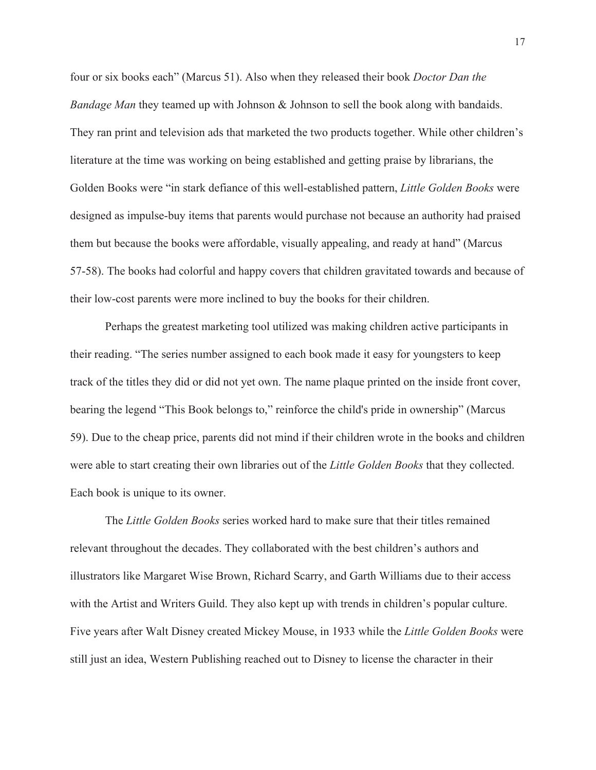four or six books each" (Marcus 51). Also when they released their book *Doctor Dan the Bandage Man* they teamed up with Johnson & Johnson to sell the book along with bandaids. They ran print and television ads that marketed the two products together. While other children's literature at the time was working on being established and getting praise by librarians, the Golden Books were "in stark defiance of this well-established pattern, *Little Golden Books* were designed as impulse-buy items that parents would purchase not because an authority had praised them but because the books were affordable, visually appealing, and ready at hand" (Marcus 57-58). The books had colorful and happy covers that children gravitated towards and because of their low-cost parents were more inclined to buy the books for their children.

Perhaps the greatest marketing tool utilized was making children active participants in their reading. "The series number assigned to each book made it easy for youngsters to keep track of the titles they did or did not yet own. The name plaque printed on the inside front cover, bearing the legend "This Book belongs to," reinforce the child's pride in ownership" (Marcus 59). Due to the cheap price, parents did not mind if their children wrote in the books and children were able to start creating their own libraries out of the *Little Golden Books* that they collected. Each book is unique to its owner.

The *Little Golden Books* series worked hard to make sure that their titles remained relevant throughout the decades. They collaborated with the best children's authors and illustrators like Margaret Wise Brown, Richard Scarry, and Garth Williams due to their access with the Artist and Writers Guild. They also kept up with trends in children's popular culture. Five years after Walt Disney created Mickey Mouse, in 1933 while the *Little Golden Books* were still just an idea, Western Publishing reached out to Disney to license the character in their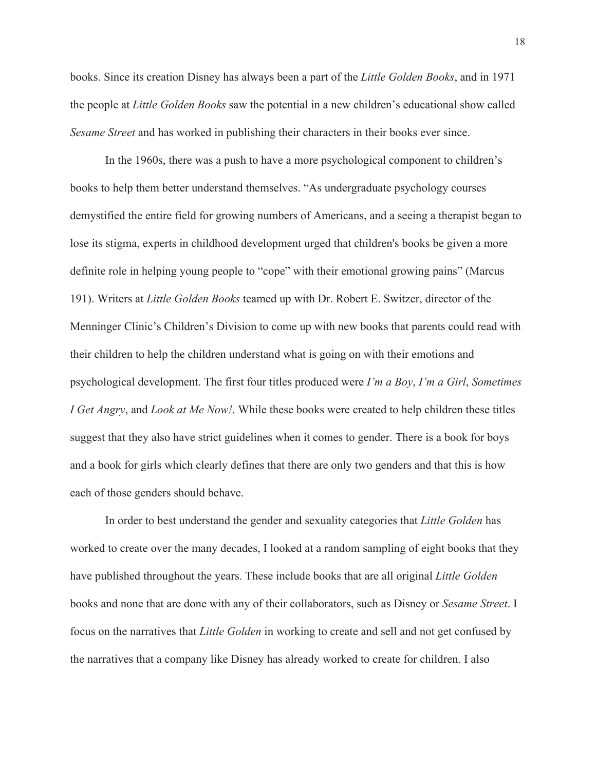books. Since its creation Disney has always been a part of the *Little Golden Books*, and in 1971 the people at *Little Golden Books* saw the potential in a new children's educational show called *Sesame Street* and has worked in publishing their characters in their books ever since.

In the 1960s, there was a push to have a more psychological component to children's books to help them better understand themselves. "As undergraduate psychology courses demystified the entire field for growing numbers of Americans, and a seeing a therapist began to lose its stigma, experts in childhood development urged that children's books be given a more definite role in helping young people to "cope" with their emotional growing pains" (Marcus 191). Writers at *Little Golden Books* teamed up with Dr. Robert E. Switzer, director of the Menninger Clinic's Children's Division to come up with new books that parents could read with their children to help the children understand what is going on with their emotions and psychological development. The first four titles produced were *I'm a Boy*, *I'm a Girl*, *Sometimes I Get Angry*, and *Look at Me Now!*. While these books were created to help children these titles suggest that they also have strict guidelines when it comes to gender. There is a book for boys and a book for girls which clearly defines that there are only two genders and that this is how each of those genders should behave.

In order to best understand the gender and sexuality categories that *Little Golden* has worked to create over the many decades, I looked at a random sampling of eight books that they have published throughout the years. These include books that are all original *Little Golden* books and none that are done with any of their collaborators, such as Disney or *Sesame Street*. I focus on the narratives that *Little Golden* in working to create and sell and not get confused by the narratives that a company like Disney has already worked to create for children. I also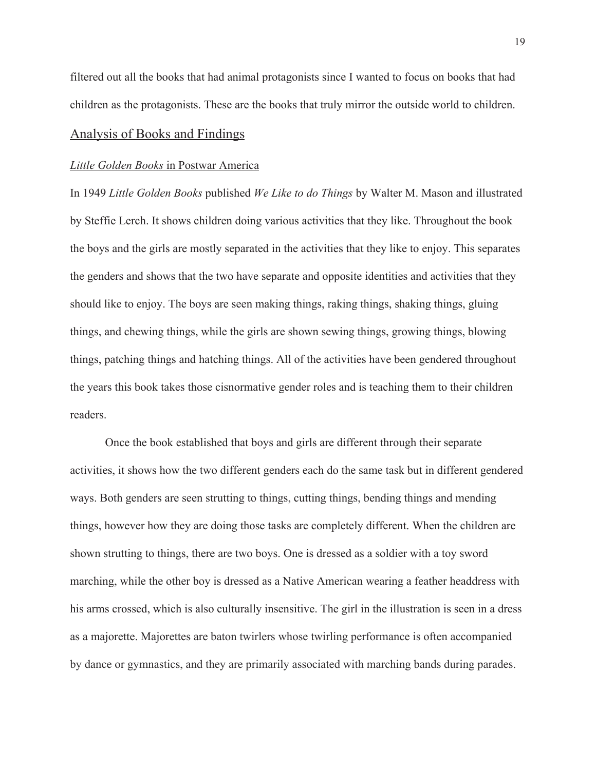filtered out all the books that had animal protagonists since I wanted to focus on books that had children as the protagonists. These are the books that truly mirror the outside world to children.

### Analysis of Books and Findings

#### *Little Golden Books* in Postwar America

In 1949 *Little Golden Books* published *We Like to do Things* by Walter M. Mason and illustrated by Steffie Lerch. It shows children doing various activities that they like. Throughout the book the boys and the girls are mostly separated in the activities that they like to enjoy. This separates the genders and shows that the two have separate and opposite identities and activities that they should like to enjoy. The boys are seen making things, raking things, shaking things, gluing things, and chewing things, while the girls are shown sewing things, growing things, blowing things, patching things and hatching things. All of the activities have been gendered throughout the years this book takes those cisnormative gender roles and is teaching them to their children readers.

Once the book established that boys and girls are different through their separate activities, it shows how the two different genders each do the same task but in different gendered ways. Both genders are seen strutting to things, cutting things, bending things and mending things, however how they are doing those tasks are completely different. When the children are shown strutting to things, there are two boys. One is dressed as a soldier with a toy sword marching, while the other boy is dressed as a Native American wearing a feather headdress with his arms crossed, which is also culturally insensitive. The girl in the illustration is seen in a dress as a majorette. Majorettes are baton twirlers whose twirling performance is often accompanied by dance or gymnastics, and they are primarily associated with marching bands during parades.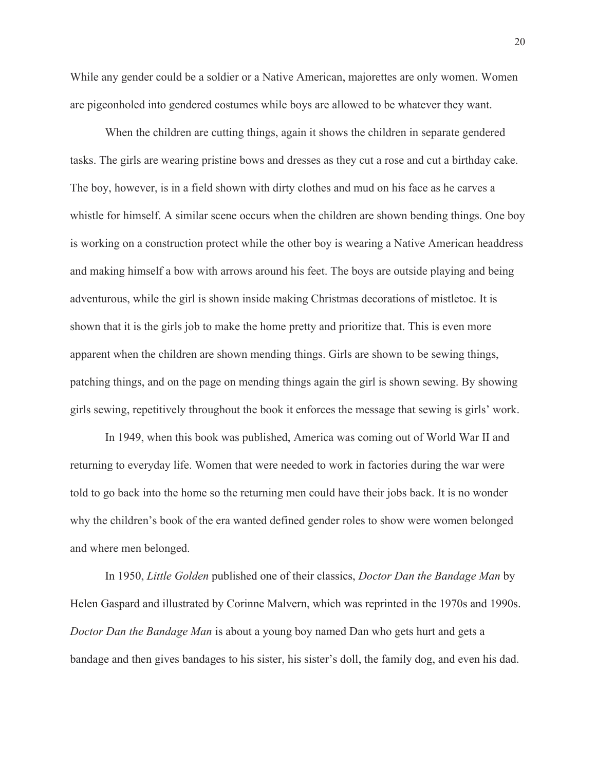While any gender could be a soldier or a Native American, majorettes are only women. Women are pigeonholed into gendered costumes while boys are allowed to be whatever they want.

When the children are cutting things, again it shows the children in separate gendered tasks. The girls are wearing pristine bows and dresses as they cut a rose and cut a birthday cake. The boy, however, is in a field shown with dirty clothes and mud on his face as he carves a whistle for himself. A similar scene occurs when the children are shown bending things. One boy is working on a construction protect while the other boy is wearing a Native American headdress and making himself a bow with arrows around his feet. The boys are outside playing and being adventurous, while the girl is shown inside making Christmas decorations of mistletoe. It is shown that it is the girls job to make the home pretty and prioritize that. This is even more apparent when the children are shown mending things. Girls are shown to be sewing things, patching things, and on the page on mending things again the girl is shown sewing. By showing girls sewing, repetitively throughout the book it enforces the message that sewing is girls' work.

In 1949, when this book was published, America was coming out of World War II and returning to everyday life. Women that were needed to work in factories during the war were told to go back into the home so the returning men could have their jobs back. It is no wonder why the children's book of the era wanted defined gender roles to show were women belonged and where men belonged.

In 1950, *Little Golden* published one of their classics, *Doctor Dan the Bandage Man* by Helen Gaspard and illustrated by Corinne Malvern, which was reprinted in the 1970s and 1990s. *Doctor Dan the Bandage Man* is about a young boy named Dan who gets hurt and gets a bandage and then gives bandages to his sister, his sister's doll, the family dog, and even his dad.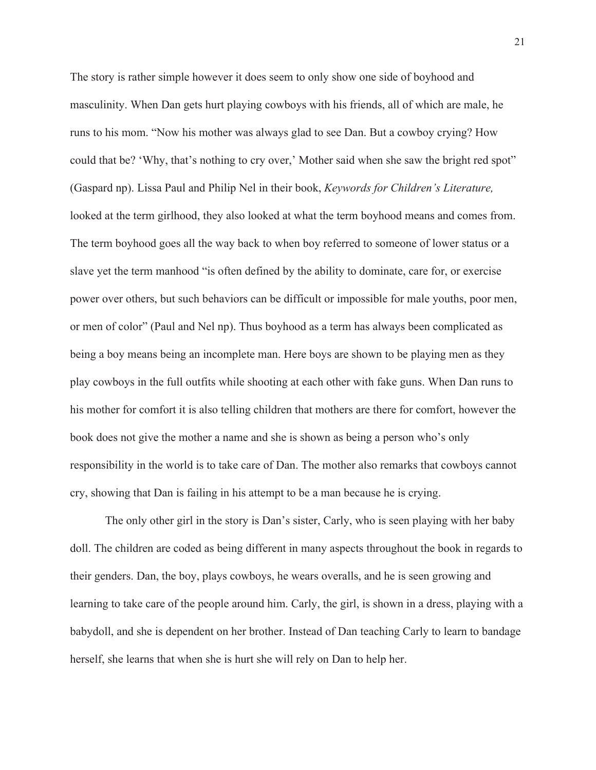The story is rather simple however it does seem to only show one side of boyhood and masculinity. When Dan gets hurt playing cowboys with his friends, all of which are male, he runs to his mom. "Now his mother was always glad to see Dan. But a cowboy crying? How could that be? 'Why, that's nothing to cry over,' Mother said when she saw the bright red spot" (Gaspard np). Lissa Paul and Philip Nel in their book, *Keywords for Children's Literature,*  looked at the term girlhood, they also looked at what the term boyhood means and comes from. The term boyhood goes all the way back to when boy referred to someone of lower status or a slave yet the term manhood "is often defined by the ability to dominate, care for, or exercise power over others, but such behaviors can be difficult or impossible for male youths, poor men, or men of color" (Paul and Nel np). Thus boyhood as a term has always been complicated as being a boy means being an incomplete man. Here boys are shown to be playing men as they play cowboys in the full outfits while shooting at each other with fake guns. When Dan runs to his mother for comfort it is also telling children that mothers are there for comfort, however the book does not give the mother a name and she is shown as being a person who's only responsibility in the world is to take care of Dan. The mother also remarks that cowboys cannot cry, showing that Dan is failing in his attempt to be a man because he is crying.

The only other girl in the story is Dan's sister, Carly, who is seen playing with her baby doll. The children are coded as being different in many aspects throughout the book in regards to their genders. Dan, the boy, plays cowboys, he wears overalls, and he is seen growing and learning to take care of the people around him. Carly, the girl, is shown in a dress, playing with a babydoll, and she is dependent on her brother. Instead of Dan teaching Carly to learn to bandage herself, she learns that when she is hurt she will rely on Dan to help her.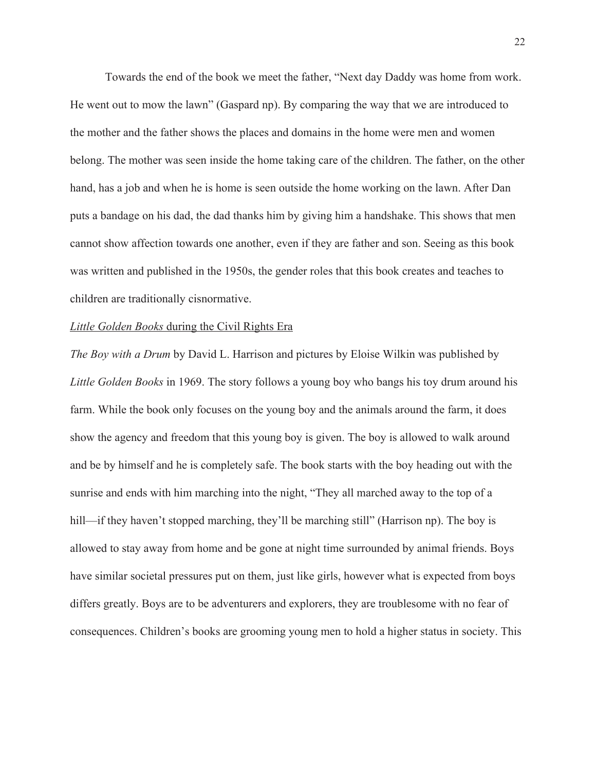Towards the end of the book we meet the father, "Next day Daddy was home from work. He went out to mow the lawn" (Gaspard np). By comparing the way that we are introduced to the mother and the father shows the places and domains in the home were men and women belong. The mother was seen inside the home taking care of the children. The father, on the other hand, has a job and when he is home is seen outside the home working on the lawn. After Dan puts a bandage on his dad, the dad thanks him by giving him a handshake. This shows that men cannot show affection towards one another, even if they are father and son. Seeing as this book was written and published in the 1950s, the gender roles that this book creates and teaches to children are traditionally cisnormative.

#### *Little Golden Books* during the Civil Rights Era

*The Boy with a Drum* by David L. Harrison and pictures by Eloise Wilkin was published by *Little Golden Books* in 1969. The story follows a young boy who bangs his toy drum around his farm. While the book only focuses on the young boy and the animals around the farm, it does show the agency and freedom that this young boy is given. The boy is allowed to walk around and be by himself and he is completely safe. The book starts with the boy heading out with the sunrise and ends with him marching into the night, "They all marched away to the top of a hill—if they haven't stopped marching, they'll be marching still" (Harrison np). The boy is allowed to stay away from home and be gone at night time surrounded by animal friends. Boys have similar societal pressures put on them, just like girls, however what is expected from boys differs greatly. Boys are to be adventurers and explorers, they are troublesome with no fear of consequences. Children's books are grooming young men to hold a higher status in society. This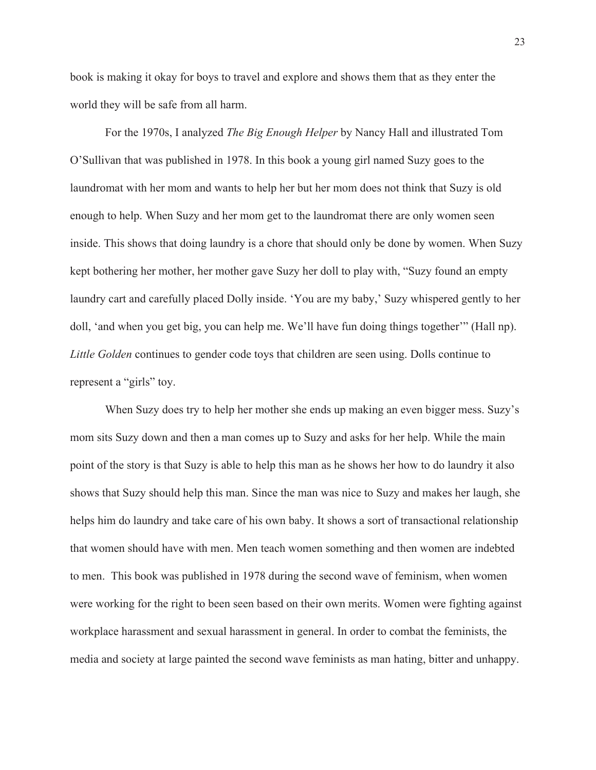book is making it okay for boys to travel and explore and shows them that as they enter the world they will be safe from all harm.

For the 1970s, I analyzed *The Big Enough Helper* by Nancy Hall and illustrated Tom O'Sullivan that was published in 1978. In this book a young girl named Suzy goes to the laundromat with her mom and wants to help her but her mom does not think that Suzy is old enough to help. When Suzy and her mom get to the laundromat there are only women seen inside. This shows that doing laundry is a chore that should only be done by women. When Suzy kept bothering her mother, her mother gave Suzy her doll to play with, "Suzy found an empty laundry cart and carefully placed Dolly inside. 'You are my baby,' Suzy whispered gently to her doll, 'and when you get big, you can help me. We'll have fun doing things together'" (Hall np). *Little Golden* continues to gender code toys that children are seen using. Dolls continue to represent a "girls" toy.

When Suzy does try to help her mother she ends up making an even bigger mess. Suzy's mom sits Suzy down and then a man comes up to Suzy and asks for her help. While the main point of the story is that Suzy is able to help this man as he shows her how to do laundry it also shows that Suzy should help this man. Since the man was nice to Suzy and makes her laugh, she helps him do laundry and take care of his own baby. It shows a sort of transactional relationship that women should have with men. Men teach women something and then women are indebted to men. This book was published in 1978 during the second wave of feminism, when women were working for the right to been seen based on their own merits. Women were fighting against workplace harassment and sexual harassment in general. In order to combat the feminists, the media and society at large painted the second wave feminists as man hating, bitter and unhappy.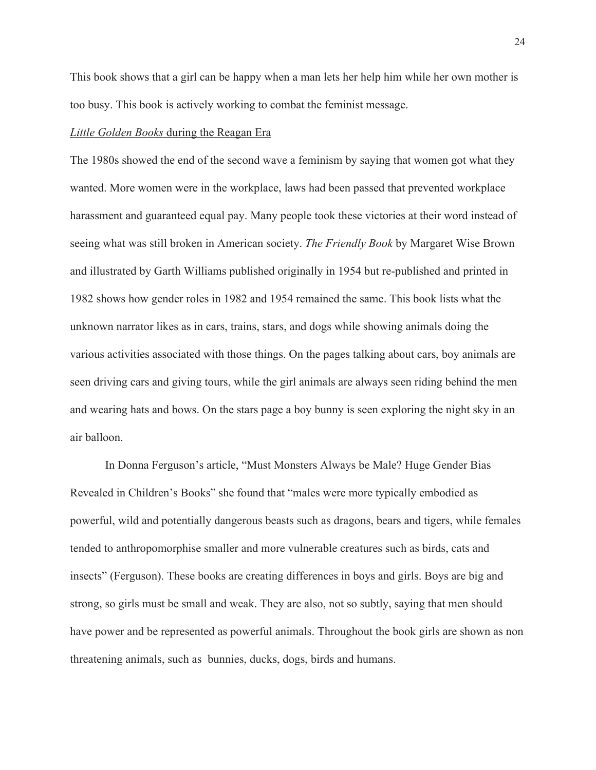This book shows that a girl can be happy when a man lets her help him while her own mother is too busy. This book is actively working to combat the feminist message.

#### *Little Golden Books* during the Reagan Era

The 1980s showed the end of the second wave a feminism by saying that women got what they wanted. More women were in the workplace, laws had been passed that prevented workplace harassment and guaranteed equal pay. Many people took these victories at their word instead of seeing what was still broken in American society. *The Friendly Book* by Margaret Wise Brown and illustrated by Garth Williams published originally in 1954 but re-published and printed in 1982 shows how gender roles in 1982 and 1954 remained the same. This book lists what the unknown narrator likes as in cars, trains, stars, and dogs while showing animals doing the various activities associated with those things. On the pages talking about cars, boy animals are seen driving cars and giving tours, while the girl animals are always seen riding behind the men and wearing hats and bows. On the stars page a boy bunny is seen exploring the night sky in an air balloon.

In Donna Ferguson's article, "Must Monsters Always be Male? Huge Gender Bias Revealed in Children's Books" she found that "males were more typically embodied as powerful, wild and potentially dangerous beasts such as dragons, bears and tigers, while females tended to anthropomorphise smaller and more vulnerable creatures such as birds, cats and insects" (Ferguson). These books are creating differences in boys and girls. Boys are big and strong, so girls must be small and weak. They are also, not so subtly, saying that men should have power and be represented as powerful animals. Throughout the book girls are shown as non threatening animals, such as bunnies, ducks, dogs, birds and humans.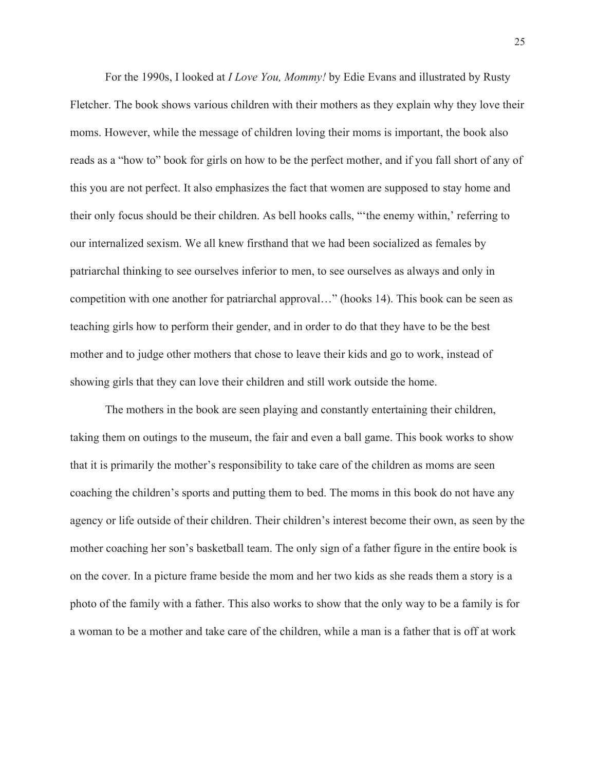For the 1990s, I looked at *I Love You, Mommy!* by Edie Evans and illustrated by Rusty Fletcher. The book shows various children with their mothers as they explain why they love their moms. However, while the message of children loving their moms is important, the book also reads as a "how to" book for girls on how to be the perfect mother, and if you fall short of any of this you are not perfect. It also emphasizes the fact that women are supposed to stay home and their only focus should be their children. As bell hooks calls, "'the enemy within,' referring to our internalized sexism. We all knew firsthand that we had been socialized as females by patriarchal thinking to see ourselves inferior to men, to see ourselves as always and only in competition with one another for patriarchal approval…" (hooks 14). This book can be seen as teaching girls how to perform their gender, and in order to do that they have to be the best mother and to judge other mothers that chose to leave their kids and go to work, instead of showing girls that they can love their children and still work outside the home.

The mothers in the book are seen playing and constantly entertaining their children, taking them on outings to the museum, the fair and even a ball game. This book works to show that it is primarily the mother's responsibility to take care of the children as moms are seen coaching the children's sports and putting them to bed. The moms in this book do not have any agency or life outside of their children. Their children's interest become their own, as seen by the mother coaching her son's basketball team. The only sign of a father figure in the entire book is on the cover. In a picture frame beside the mom and her two kids as she reads them a story is a photo of the family with a father. This also works to show that the only way to be a family is for a woman to be a mother and take care of the children, while a man is a father that is off at work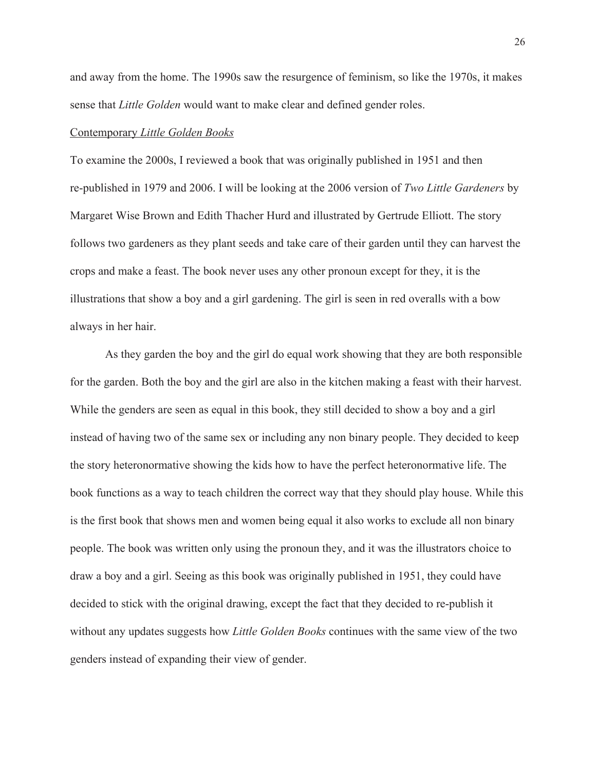and away from the home. The 1990s saw the resurgence of feminism, so like the 1970s, it makes sense that *Little Golden* would want to make clear and defined gender roles.

#### Contemporary *Little Golden Books*

To examine the 2000s, I reviewed a book that was originally published in 1951 and then re-published in 1979 and 2006. I will be looking at the 2006 version of *Two Little Gardeners* by Margaret Wise Brown and Edith Thacher Hurd and illustrated by Gertrude Elliott. The story follows two gardeners as they plant seeds and take care of their garden until they can harvest the crops and make a feast. The book never uses any other pronoun except for they, it is the illustrations that show a boy and a girl gardening. The girl is seen in red overalls with a bow always in her hair.

As they garden the boy and the girl do equal work showing that they are both responsible for the garden. Both the boy and the girl are also in the kitchen making a feast with their harvest. While the genders are seen as equal in this book, they still decided to show a boy and a girl instead of having two of the same sex or including any non binary people. They decided to keep the story heteronormative showing the kids how to have the perfect heteronormative life. The book functions as a way to teach children the correct way that they should play house. While this is the first book that shows men and women being equal it also works to exclude all non binary people. The book was written only using the pronoun they, and it was the illustrators choice to draw a boy and a girl. Seeing as this book was originally published in 1951, they could have decided to stick with the original drawing, except the fact that they decided to re-publish it without any updates suggests how *Little Golden Books* continues with the same view of the two genders instead of expanding their view of gender.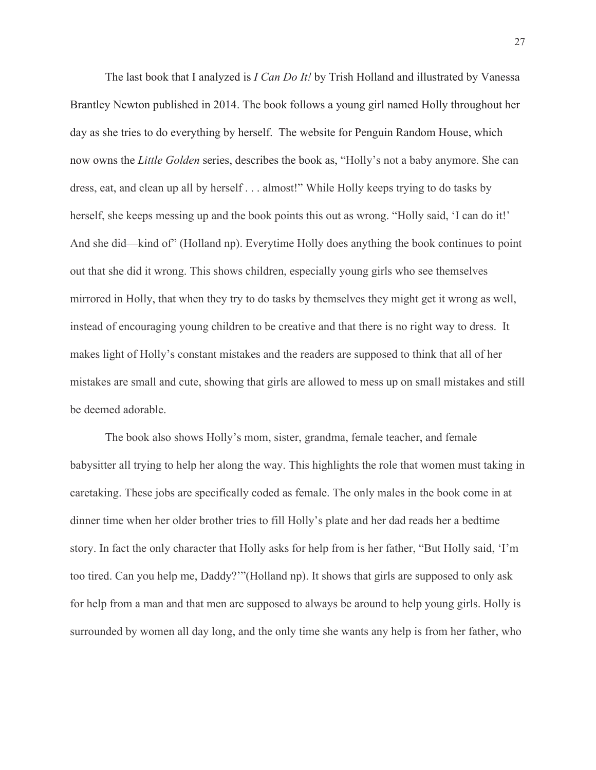The last book that I analyzed is *I Can Do It!* by Trish Holland and illustrated by Vanessa Brantley Newton published in 2014. The book follows a young girl named Holly throughout her day as she tries to do everything by herself. The website for Penguin Random House, which now owns the *Little Golden* series, describes the book as, "Holly's not a baby anymore. She can dress, eat, and clean up all by herself . . . almost!" While Holly keeps trying to do tasks by herself, she keeps messing up and the book points this out as wrong. "Holly said, 'I can do it!' And she did—kind of" (Holland np). Everytime Holly does anything the book continues to point out that she did it wrong. This shows children, especially young girls who see themselves mirrored in Holly, that when they try to do tasks by themselves they might get it wrong as well, instead of encouraging young children to be creative and that there is no right way to dress. It makes light of Holly's constant mistakes and the readers are supposed to think that all of her mistakes are small and cute, showing that girls are allowed to mess up on small mistakes and still be deemed adorable.

The book also shows Holly's mom, sister, grandma, female teacher, and female babysitter all trying to help her along the way. This highlights the role that women must taking in caretaking. These jobs are specifically coded as female. The only males in the book come in at dinner time when her older brother tries to fill Holly's plate and her dad reads her a bedtime story. In fact the only character that Holly asks for help from is her father, "But Holly said, 'I'm too tired. Can you help me, Daddy?'"(Holland np). It shows that girls are supposed to only ask for help from a man and that men are supposed to always be around to help young girls. Holly is surrounded by women all day long, and the only time she wants any help is from her father, who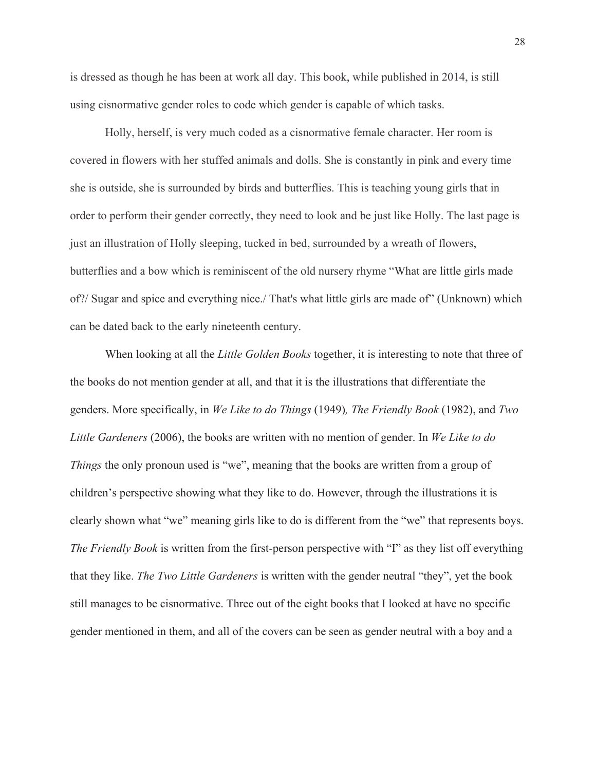is dressed as though he has been at work all day. This book, while published in 2014, is still using cisnormative gender roles to code which gender is capable of which tasks.

Holly, herself, is very much coded as a cisnormative female character. Her room is covered in flowers with her stuffed animals and dolls. She is constantly in pink and every time she is outside, she is surrounded by birds and butterflies. This is teaching young girls that in order to perform their gender correctly, they need to look and be just like Holly. The last page is just an illustration of Holly sleeping, tucked in bed, surrounded by a wreath of flowers, butterflies and a bow which is reminiscent of the old nursery rhyme "What are little girls made of?/ Sugar and spice and everything nice./ That's what little girls are made of" (Unknown) which can be dated back to the early nineteenth century.

When looking at all the *Little Golden Books* together, it is interesting to note that three of the books do not mention gender at all, and that it is the illustrations that differentiate the genders. More specifically, in *We Like to do Things* (1949)*, The Friendly Book* (1982), and *Two Little Gardeners* (2006), the books are written with no mention of gender. In *We Like to do Things* the only pronoun used is "we", meaning that the books are written from a group of children's perspective showing what they like to do. However, through the illustrations it is clearly shown what "we" meaning girls like to do is different from the "we" that represents boys. *The Friendly Book* is written from the first-person perspective with "I" as they list off everything that they like. *The Two Little Gardeners* is written with the gender neutral "they", yet the book still manages to be cisnormative. Three out of the eight books that I looked at have no specific gender mentioned in them, and all of the covers can be seen as gender neutral with a boy and a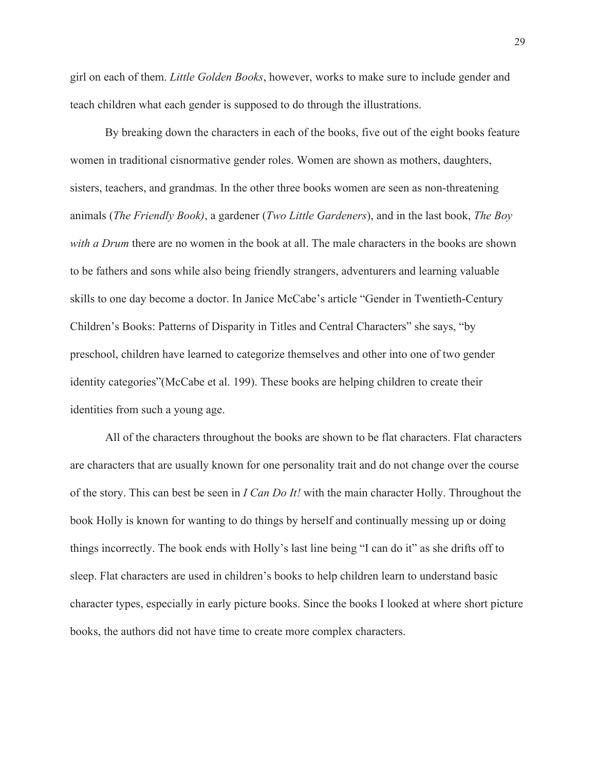girl on each of them. *Little Golden Books*, however, works to make sure to include gender and teach children what each gender is supposed to do through the illustrations.

By breaking down the characters in each of the books, five out of the eight books feature women in traditional cisnormative gender roles. Women are shown as mothers, daughters, sisters, teachers, and grandmas. In the other three books women are seen as non-threatening animals (*The Friendly Book)*, a gardener (*Two Little Gardeners*), and in the last book, *The Boy with a Drum* there are no women in the book at all. The male characters in the books are shown to be fathers and sons while also being friendly strangers, adventurers and learning valuable skills to one day become a doctor. In Janice McCabe's article "Gender in Twentieth-Century Children's Books: Patterns of Disparity in Titles and Central Characters" she says, "by preschool, children have learned to categorize themselves and other into one of two gender identity categories"(McCabe et al. 199). These books are helping children to create their identities from such a young age.

All of the characters throughout the books are shown to be flat characters. Flat characters are characters that are usually known for one personality trait and do not change over the course of the story. This can best be seen in *I Can Do It!* with the main character Holly. Throughout the book Holly is known for wanting to do things by herself and continually messing up or doing things incorrectly. The book ends with Holly's last line being "I can do it" as she drifts off to sleep. Flat characters are used in children's books to help children learn to understand basic character types, especially in early picture books. Since the books I looked at where short picture books, the authors did not have time to create more complex characters.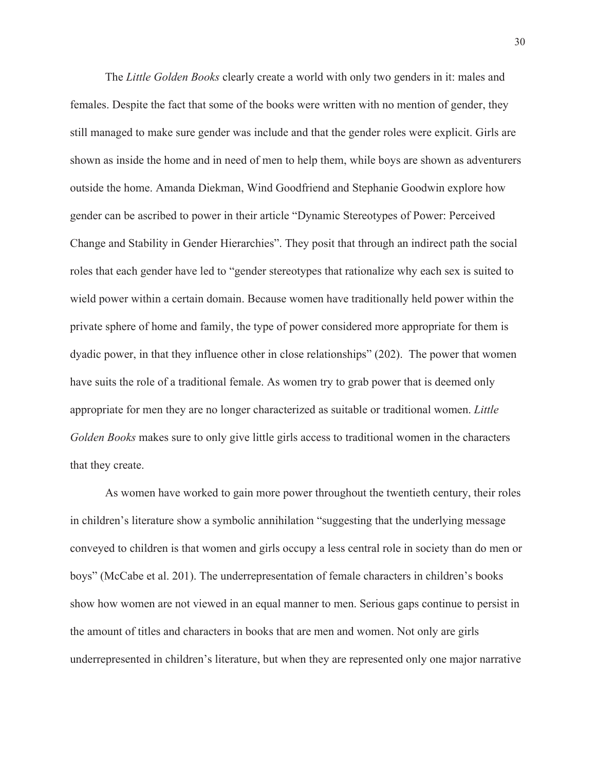The *Little Golden Books* clearly create a world with only two genders in it: males and females. Despite the fact that some of the books were written with no mention of gender, they still managed to make sure gender was include and that the gender roles were explicit. Girls are shown as inside the home and in need of men to help them, while boys are shown as adventurers outside the home. Amanda Diekman, Wind Goodfriend and Stephanie Goodwin explore how gender can be ascribed to power in their article "Dynamic Stereotypes of Power: Perceived Change and Stability in Gender Hierarchies". They posit that through an indirect path the social roles that each gender have led to "gender stereotypes that rationalize why each sex is suited to wield power within a certain domain. Because women have traditionally held power within the private sphere of home and family, the type of power considered more appropriate for them is dyadic power, in that they influence other in close relationships" (202). The power that women have suits the role of a traditional female. As women try to grab power that is deemed only appropriate for men they are no longer characterized as suitable or traditional women. *Little Golden Books* makes sure to only give little girls access to traditional women in the characters that they create.

As women have worked to gain more power throughout the twentieth century, their roles in children's literature show a symbolic annihilation "suggesting that the underlying message conveyed to children is that women and girls occupy a less central role in society than do men or boys" (McCabe et al. 201). The underrepresentation of female characters in children's books show how women are not viewed in an equal manner to men. Serious gaps continue to persist in the amount of titles and characters in books that are men and women. Not only are girls underrepresented in children's literature, but when they are represented only one major narrative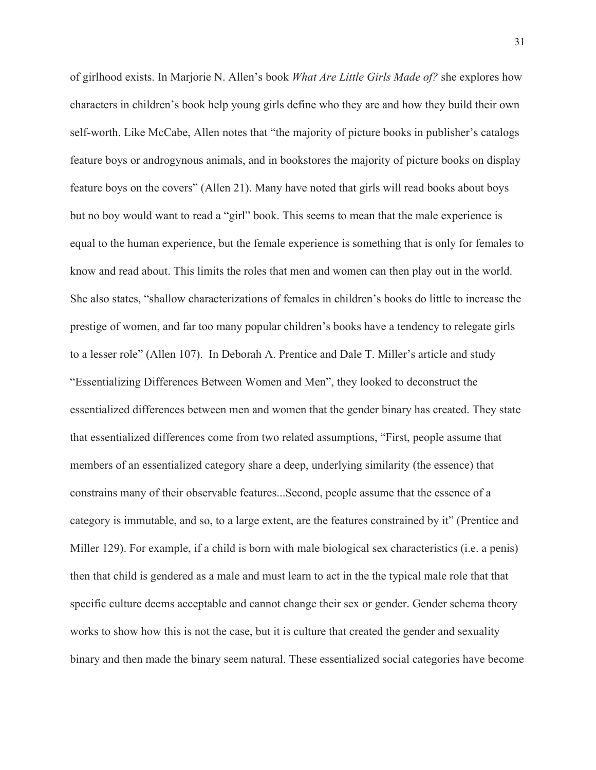of girlhood exists. In Marjorie N. Allen's book *What Are Little Girls Made of?* she explores how characters in children's book help young girls define who they are and how they build their own self-worth. Like McCabe, Allen notes that "the majority of picture books in publisher's catalogs feature boys or androgynous animals, and in bookstores the majority of picture books on display feature boys on the covers" (Allen 21). Many have noted that girls will read books about boys but no boy would want to read a "girl" book. This seems to mean that the male experience is equal to the human experience, but the female experience is something that is only for females to know and read about. This limits the roles that men and women can then play out in the world. She also states, "shallow characterizations of females in children's books do little to increase the prestige of women, and far too many popular children's books have a tendency to relegate girls to a lesser role" (Allen 107). In Deborah A. Prentice and Dale T. Miller's article and study "Essentializing Differences Between Women and Men", they looked to deconstruct the essentialized differences between men and women that the gender binary has created. They state that essentialized differences come from two related assumptions, "First, people assume that members of an essentialized category share a deep, underlying similarity (the essence) that constrains many of their observable features...Second, people assume that the essence of a category is immutable, and so, to a large extent, are the features constrained by it" (Prentice and Miller 129). For example, if a child is born with male biological sex characteristics (i.e. a penis) then that child is gendered as a male and must learn to act in the the typical male role that that specific culture deems acceptable and cannot change their sex or gender. Gender schema theory works to show how this is not the case, but it is culture that created the gender and sexuality binary and then made the binary seem natural. These essentialized social categories have become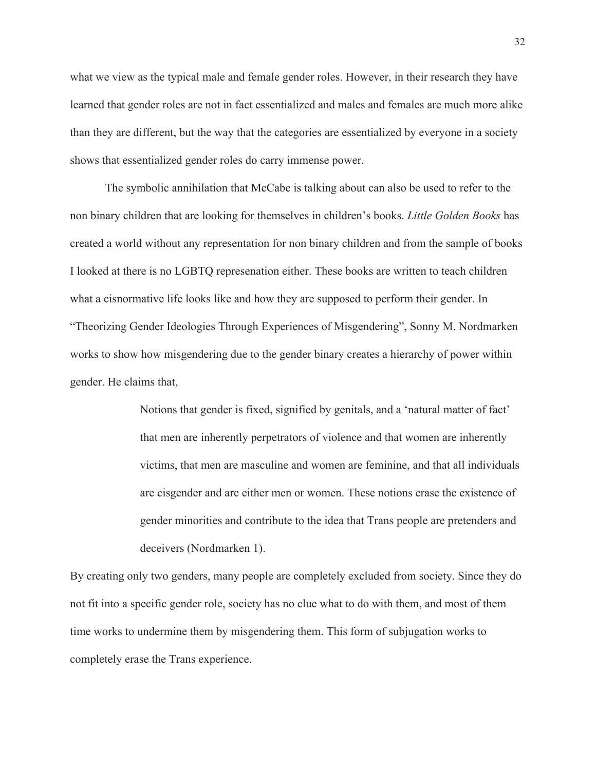what we view as the typical male and female gender roles. However, in their research they have learned that gender roles are not in fact essentialized and males and females are much more alike than they are different, but the way that the categories are essentialized by everyone in a society shows that essentialized gender roles do carry immense power.

The symbolic annihilation that McCabe is talking about can also be used to refer to the non binary children that are looking for themselves in children's books. *Little Golden Books* has created a world without any representation for non binary children and from the sample of books I looked at there is no LGBTQ represenation either. These books are written to teach children what a cisnormative life looks like and how they are supposed to perform their gender. In "Theorizing Gender Ideologies Through Experiences of Misgendering", Sonny M. Nordmarken works to show how misgendering due to the gender binary creates a hierarchy of power within gender. He claims that,

> Notions that gender is fixed, signified by genitals, and a 'natural matter of fact' that men are inherently perpetrators of violence and that women are inherently victims, that men are masculine and women are feminine, and that all individuals are cisgender and are either men or women. These notions erase the existence of gender minorities and contribute to the idea that Trans people are pretenders and deceivers (Nordmarken 1).

By creating only two genders, many people are completely excluded from society. Since they do not fit into a specific gender role, society has no clue what to do with them, and most of them time works to undermine them by misgendering them. This form of subjugation works to completely erase the Trans experience.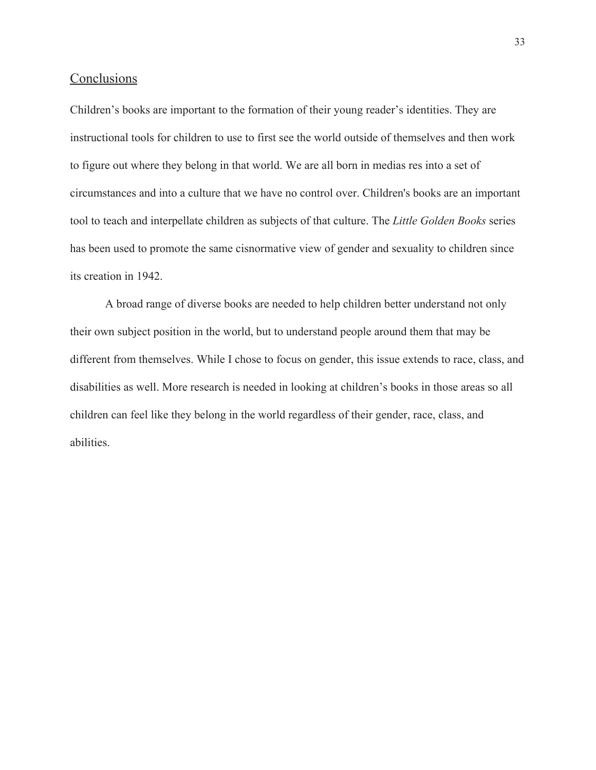## **Conclusions**

Children's books are important to the formation of their young reader's identities. They are instructional tools for children to use to first see the world outside of themselves and then work to figure out where they belong in that world. We are all born in medias res into a set of circumstances and into a culture that we have no control over. Children's books are an important tool to teach and interpellate children as subjects of that culture. The *Little Golden Books* series has been used to promote the same cisnormative view of gender and sexuality to children since its creation in 1942.

A broad range of diverse books are needed to help children better understand not only their own subject position in the world, but to understand people around them that may be different from themselves. While I chose to focus on gender, this issue extends to race, class, and disabilities as well. More research is needed in looking at children's books in those areas so all children can feel like they belong in the world regardless of their gender, race, class, and abilities.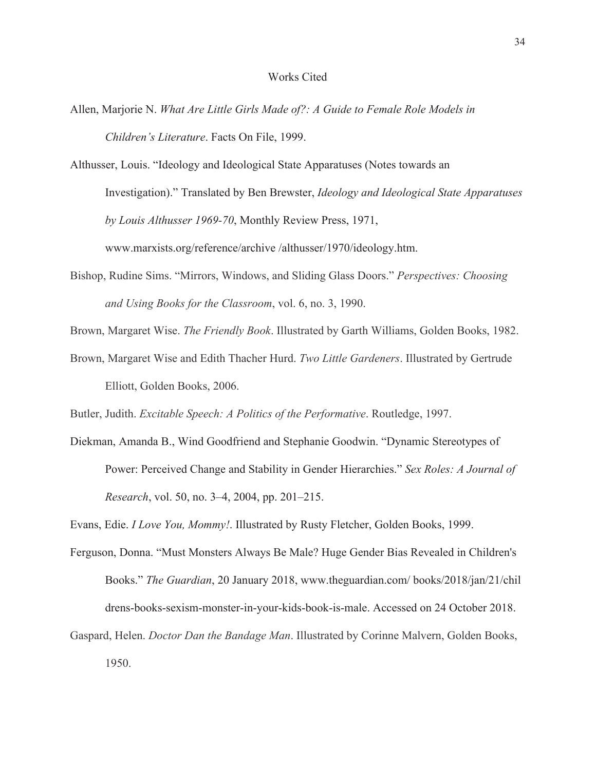#### Works Cited

- Allen, Marjorie N. *What Are Little Girls Made of?: A Guide to Female Role Models in Children's Literature*. Facts On File, 1999.
- Althusser, Louis. "Ideology and Ideological State Apparatuses (Notes towards an Investigation)." Translated by Ben Brewster, *Ideology and Ideological State Apparatuses by Louis Althusser 1969-70*, Monthly Review Press, 1971, www.marxists.org/reference/archive /althusser/1970/ideology.htm.
- Bishop, Rudine Sims. "Mirrors, Windows, and Sliding Glass Doors." *Perspectives: Choosing and Using Books for the Classroom*, vol. 6, no. 3, 1990.
- Brown, Margaret Wise. *The Friendly Book*. Illustrated by Garth Williams, Golden Books, 1982.
- Brown, Margaret Wise and Edith Thacher Hurd. *Two Little Gardeners*. Illustrated by Gertrude Elliott, Golden Books, 2006.

Butler, Judith. *Excitable Speech: A Politics of the Performative*. Routledge, 1997.

Diekman, Amanda B., Wind Goodfriend and Stephanie Goodwin. "Dynamic Stereotypes of Power: Perceived Change and Stability in Gender Hierarchies." *Sex Roles: A Journal of Research*, vol. 50, no. 3–4, 2004, pp. 201–215.

Evans, Edie. *I Love You, Mommy!*. Illustrated by Rusty Fletcher, Golden Books, 1999.

- Ferguson, Donna. "Must Monsters Always Be Male? Huge Gender Bias Revealed in Children's Books." *The Guardian*, 20 January 2018, www.theguardian.com/ books/2018/jan/21/chil drens-books-sexism-monster-in-your-kids-book-is-male. Accessed on 24 October 2018.
- Gaspard, Helen. *Doctor Dan the Bandage Man*. Illustrated by Corinne Malvern, Golden Books, 1950.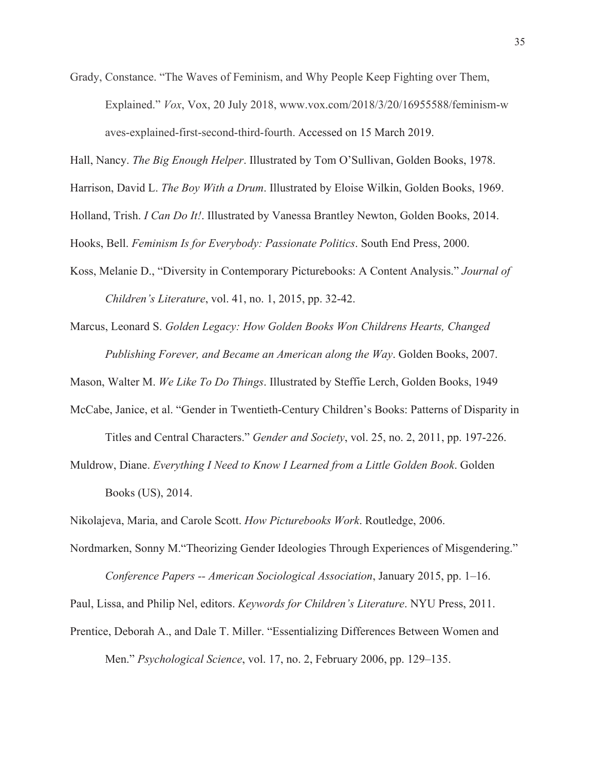Grady, Constance. "The Waves of Feminism, and Why People Keep Fighting over Them, Explained." *Vox*, Vox, 20 July 2018, www.vox.com/2018/3/20/16955588/feminism-w aves-explained-first-second-third-fourth. Accessed on 15 March 2019.

Hall, Nancy. *The Big Enough Helper*. Illustrated by Tom O'Sullivan, Golden Books, 1978.

Harrison, David L. *The Boy With a Drum*. Illustrated by Eloise Wilkin, Golden Books, 1969.

Holland, Trish. *I Can Do It!*. Illustrated by Vanessa Brantley Newton, Golden Books, 2014.

Hooks, Bell. *Feminism Is for Everybody: Passionate Politics*. South End Press, 2000.

Koss, Melanie D., "Diversity in Contemporary Picturebooks: A Content Analysis." *Journal of Children's Literature*, vol. 41, no. 1, 2015, pp. 32-42.

Marcus, Leonard S. *Golden Legacy: How Golden Books Won Childrens Hearts, Changed Publishing Forever, and Became an American along the Way*. Golden Books, 2007.

Mason, Walter M. *We Like To Do Things*. Illustrated by Steffie Lerch, Golden Books, 1949

McCabe, Janice, et al. "Gender in Twentieth-Century Children's Books: Patterns of Disparity in

Titles and Central Characters." *Gender and Society*, vol. 25, no. 2, 2011, pp. 197-226.

Muldrow, Diane. *Everything I Need to Know I Learned from a Little Golden Book*. Golden Books (US), 2014.

Nikolajeva, Maria, and Carole Scott. *How Picturebooks Work*. Routledge, 2006.

Nordmarken, Sonny M."Theorizing Gender Ideologies Through Experiences of Misgendering."

*Conference Papers -- American Sociological Association*, January 2015, pp. 1–16. Paul, Lissa, and Philip Nel, editors. *Keywords for Children's Literature*. NYU Press, 2011. Prentice, Deborah A., and Dale T. Miller. "Essentializing Differences Between Women and Men." *Psychological Science*, vol. 17, no. 2, February 2006, pp. 129–135.